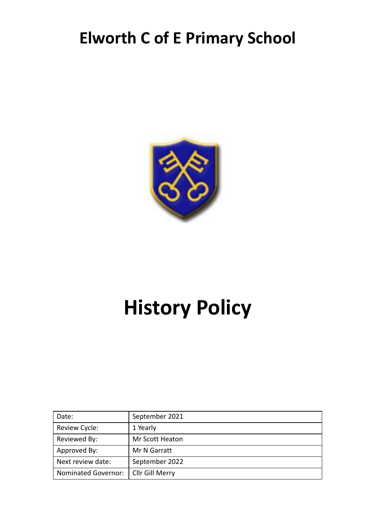# **Elworth C of E Primary School**



# **History Policy**

| Date:               | September 2021         |
|---------------------|------------------------|
| Review Cycle:       | 1 Yearly               |
| Reviewed By:        | <b>Mr Scott Heaton</b> |
| Approved By:        | Mr N Garratt           |
| Next review date:   | September 2022         |
| Nominated Governor: | Cllr Gill Merry        |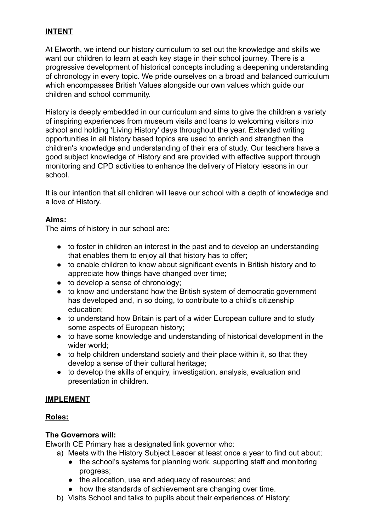# **INTENT**

At Elworth, we intend our history curriculum to set out the knowledge and skills we want our children to learn at each key stage in their school journey. There is a progressive development of historical concepts including a deepening understanding of chronology in every topic. We pride ourselves on a broad and balanced curriculum which encompasses British Values alongside our own values which guide our children and school community.

History is deeply embedded in our curriculum and aims to give the children a variety of inspiring experiences from museum visits and loans to welcoming visitors into school and holding 'Living History' days throughout the year. Extended writing opportunities in all history based topics are used to enrich and strengthen the children's knowledge and understanding of their era of study. Our teachers have a good subject knowledge of History and are provided with effective support through monitoring and CPD activities to enhance the delivery of History lessons in our school.

It is our intention that all children will leave our school with a depth of knowledge and a love of History.

# **Aims:**

The aims of history in our school are:

- to foster in children an interest in the past and to develop an understanding that enables them to enjoy all that history has to offer;
- to enable children to know about significant events in British history and to appreciate how things have changed over time;
- to develop a sense of chronology;
- to know and understand how the British system of democratic government has developed and, in so doing, to contribute to a child's citizenship education;
- to understand how Britain is part of a wider European culture and to study some aspects of European history;
- to have some knowledge and understanding of historical development in the wider world;
- to help children understand society and their place within it, so that they develop a sense of their cultural heritage;
- to develop the skills of enquiry, investigation, analysis, evaluation and presentation in children.

#### **IMPLEMENT**

#### **Roles:**

#### **The Governors will:**

Elworth CE Primary has a designated link governor who:

a) Meets with the History Subject Leader at least once a year to find out about;

- the school's systems for planning work, supporting staff and monitoring progress;
- the allocation, use and adequacy of resources; and
- how the standards of achievement are changing over time.
- b) Visits School and talks to pupils about their experiences of History;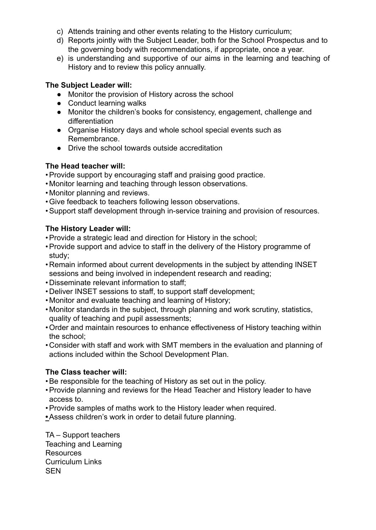- c) Attends training and other events relating to the History curriculum;
- d) Reports jointly with the Subject Leader, both for the School Prospectus and to the governing body with recommendations, if appropriate, once a year.
- e) is understanding and supportive of our aims in the learning and teaching of History and to review this policy annually.

### **The Subject Leader will:**

- Monitor the provision of History across the school
- Conduct learning walks
- Monitor the children's books for consistency, engagement, challenge and differentiation
- Organise History days and whole school special events such as Remembrance.
- Drive the school towards outside accreditation

# **The Head teacher will:**

- •Provide support by encouraging staff and praising good practice.
- Monitor learning and teaching through lesson observations.
- Monitor planning and reviews.
- •Give feedback to teachers following lesson observations.
- •Support staff development through in-service training and provision of resources.

# **The History Leader will:**

- •Provide a strategic lead and direction for History in the school;
- •Provide support and advice to staff in the delivery of the History programme of study;
- Remain informed about current developments in the subject by attending INSET sessions and being involved in independent research and reading;
- Disseminate relevant information to staff;
- Deliver INSET sessions to staff, to support staff development;
- Monitor and evaluate teaching and learning of History;
- Monitor standards in the subject, through planning and work scrutiny, statistics, quality of teaching and pupil assessments;
- •Order and maintain resources to enhance effectiveness of History teaching within the school;
- Consider with staff and work with SMT members in the evaluation and planning of actions included within the School Development Plan.

# **The Class teacher will:**

- •Be responsible for the teaching of History as set out in the policy.
- •Provide planning and reviews for the Head Teacher and History leader to have access to.
- •Provide samples of maths work to the History leader when required.
- **•**Assess children's work in order to detail future planning.

TA – Support teachers Teaching and Learning **Resources** Curriculum Links **SEN**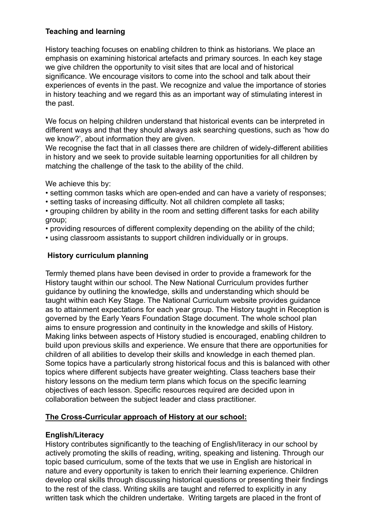### **Teaching and learning**

History teaching focuses on enabling children to think as historians. We place an emphasis on examining historical artefacts and primary sources. In each key stage we give children the opportunity to visit sites that are local and of historical significance. We encourage visitors to come into the school and talk about their experiences of events in the past. We recognize and value the importance of stories in history teaching and we regard this as an important way of stimulating interest in the past.

We focus on helping children understand that historical events can be interpreted in different ways and that they should always ask searching questions, such as 'how do we know?', about information they are given.

We recognise the fact that in all classes there are children of widely-different abilities in history and we seek to provide suitable learning opportunities for all children by matching the challenge of the task to the ability of the child.

We achieve this by:

- setting common tasks which are open-ended and can have a variety of responses;
- setting tasks of increasing difficulty. Not all children complete all tasks;
- grouping children by ability in the room and setting different tasks for each ability group;
- providing resources of different complexity depending on the ability of the child;
- using classroom assistants to support children individually or in groups.

#### **History curriculum planning**

Termly themed plans have been devised in order to provide a framework for the History taught within our school. The New National Curriculum provides further guidance by outlining the knowledge, skills and understanding which should be taught within each Key Stage. The National Curriculum website provides guidance as to attainment expectations for each year group. The History taught in Reception is governed by the Early Years Foundation Stage document. The whole school plan aims to ensure progression and continuity in the knowledge and skills of History. Making links between aspects of History studied is encouraged, enabling children to build upon previous skills and experience. We ensure that there are opportunities for children of all abilities to develop their skills and knowledge in each themed plan. Some topics have a particularly strong historical focus and this is balanced with other topics where different subjects have greater weighting. Class teachers base their history lessons on the medium term plans which focus on the specific learning objectives of each lesson. Specific resources required are decided upon in collaboration between the subject leader and class practitioner.

#### **The Cross-Curricular approach of History at our school:**

#### **English/Literacy**

History contributes significantly to the teaching of English/literacy in our school by actively promoting the skills of reading, writing, speaking and listening. Through our topic based curriculum, some of the texts that we use in English are historical in nature and every opportunity is taken to enrich their learning experience. Children develop oral skills through discussing historical questions or presenting their findings to the rest of the class. Writing skills are taught and referred to explicitly in any written task which the children undertake. Writing targets are placed in the front of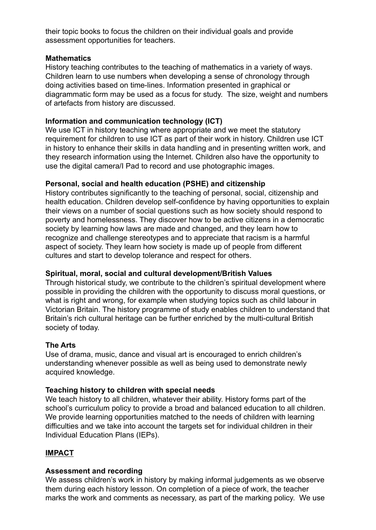their topic books to focus the children on their individual goals and provide assessment opportunities for teachers.

#### **Mathematics**

History teaching contributes to the teaching of mathematics in a variety of ways. Children learn to use numbers when developing a sense of chronology through doing activities based on time-lines. Information presented in graphical or diagrammatic form may be used as a focus for study. The size, weight and numbers of artefacts from history are discussed.

#### **Information and communication technology (ICT)**

We use ICT in history teaching where appropriate and we meet the statutory requirement for children to use ICT as part of their work in history. Children use ICT in history to enhance their skills in data handling and in presenting written work, and they research information using the Internet. Children also have the opportunity to use the digital camera/I Pad to record and use photographic images.

#### **Personal, social and health education (PSHE) and citizenship**

History contributes significantly to the teaching of personal, social, citizenship and health education. Children develop self-confidence by having opportunities to explain their views on a number of social questions such as how society should respond to poverty and homelessness. They discover how to be active citizens in a democratic society by learning how laws are made and changed, and they learn how to recognize and challenge stereotypes and to appreciate that racism is a harmful aspect of society. They learn how society is made up of people from different cultures and start to develop tolerance and respect for others.

#### **Spiritual, moral, social and cultural development/British Values**

Through historical study, we contribute to the children's spiritual development where possible in providing the children with the opportunity to discuss moral questions, or what is right and wrong, for example when studying topics such as child labour in Victorian Britain. The history programme of study enables children to understand that Britain's rich cultural heritage can be further enriched by the multi-cultural British society of today.

#### **The Arts**

Use of drama, music, dance and visual art is encouraged to enrich children's understanding whenever possible as well as being used to demonstrate newly acquired knowledge.

#### **Teaching history to children with special needs**

We teach history to all children, whatever their ability. History forms part of the school's curriculum policy to provide a broad and balanced education to all children. We provide learning opportunities matched to the needs of children with learning difficulties and we take into account the targets set for individual children in their Individual Education Plans (IEPs).

#### **IMPACT**

#### **Assessment and recording**

We assess children's work in history by making informal judgements as we observe them during each history lesson. On completion of a piece of work, the teacher marks the work and comments as necessary, as part of the marking policy. We use